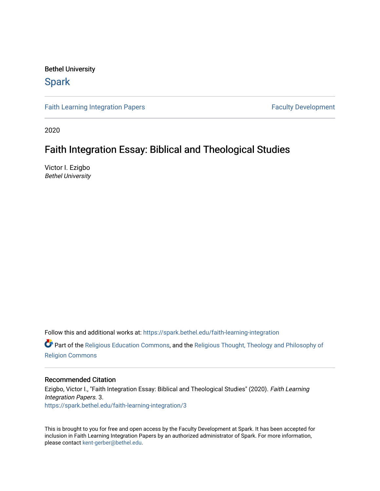Bethel University

# **Spark**

[Faith Learning Integration Papers](https://spark.bethel.edu/faith-learning-integration) **Faculty Development** Faculty Development

2020

# Faith Integration Essay: Biblical and Theological Studies

Victor I. Ezigbo Bethel University

Follow this and additional works at: [https://spark.bethel.edu/faith-learning-integration](https://spark.bethel.edu/faith-learning-integration?utm_source=spark.bethel.edu%2Ffaith-learning-integration%2F3&utm_medium=PDF&utm_campaign=PDFCoverPages)

Part of the [Religious Education Commons](http://network.bepress.com/hgg/discipline/1414?utm_source=spark.bethel.edu%2Ffaith-learning-integration%2F3&utm_medium=PDF&utm_campaign=PDFCoverPages), and the [Religious Thought, Theology and Philosophy of](http://network.bepress.com/hgg/discipline/544?utm_source=spark.bethel.edu%2Ffaith-learning-integration%2F3&utm_medium=PDF&utm_campaign=PDFCoverPages) [Religion Commons](http://network.bepress.com/hgg/discipline/544?utm_source=spark.bethel.edu%2Ffaith-learning-integration%2F3&utm_medium=PDF&utm_campaign=PDFCoverPages)

#### Recommended Citation

Ezigbo, Victor I., "Faith Integration Essay: Biblical and Theological Studies" (2020). Faith Learning Integration Papers. 3. [https://spark.bethel.edu/faith-learning-integration/3](https://spark.bethel.edu/faith-learning-integration/3?utm_source=spark.bethel.edu%2Ffaith-learning-integration%2F3&utm_medium=PDF&utm_campaign=PDFCoverPages) 

This is brought to you for free and open access by the Faculty Development at Spark. It has been accepted for inclusion in Faith Learning Integration Papers by an authorized administrator of Spark. For more information, please contact [kent-gerber@bethel.edu](mailto:kent-gerber@bethel.edu).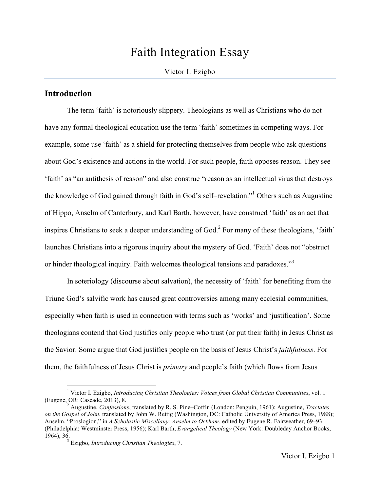# Faith Integration Essay

## Victor I. Ezigbo

# **Introduction**

The term 'faith' is notoriously slippery. Theologians as well as Christians who do not have any formal theological education use the term 'faith' sometimes in competing ways. For example, some use 'faith' as a shield for protecting themselves from people who ask questions about God's existence and actions in the world. For such people, faith opposes reason. They see 'faith' as "an antithesis of reason" and also construe "reason as an intellectual virus that destroys the knowledge of God gained through faith in God's self–revelation."1 Others such as Augustine of Hippo, Anselm of Canterbury, and Karl Barth, however, have construed 'faith' as an act that inspires Christians to seek a deeper understanding of God.<sup>2</sup> For many of these theologians, 'faith' launches Christians into a rigorous inquiry about the mystery of God. 'Faith' does not "obstruct or hinder theological inquiry. Faith welcomes theological tensions and paradoxes."<sup>3</sup>

In soteriology (discourse about salvation), the necessity of 'faith' for benefiting from the Triune God's salvific work has caused great controversies among many ecclesial communities, especially when faith is used in connection with terms such as 'works' and 'justification'. Some theologians contend that God justifies only people who trust (or put their faith) in Jesus Christ as the Savior. Some argue that God justifies people on the basis of Jesus Christ's *faithfulness*. For them, the faithfulness of Jesus Christ is *primary* and people's faith (which flows from Jesus

 <sup>1</sup> Victor I. Ezigbo, *Introducing Christian Theologies: Voices from Global Christian Communities*, vol. 1

<sup>&</sup>lt;sup>2</sup> Augustine, *Confessions*, translated by R. S. Pine–Coffin (London: Penguin, 1961); Augustine, *Tractates on the Gospel of John*, translated by John W. Rettig (Washington, DC: Catholic University of America Press, 1988); Anselm, "Proslogion," in *A Scholastic Miscellany: Anselm to Ockham*, edited by Eugene R. Fairweather, 69–93 (Philadelphia: Westminster Press, 1956); Karl Barth, *Evangelical Theology* (New York: Doubleday Anchor Books, 1964), 36.3 Ezigbo, *Introducing Christian Theologies*, 7.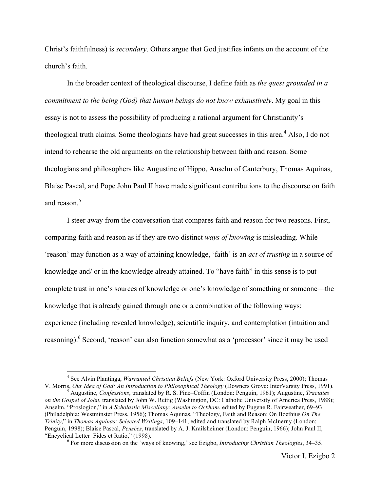Christ's faithfulness) is *secondary*. Others argue that God justifies infants on the account of the church's faith.

In the broader context of theological discourse, I define faith as *the quest grounded in a commitment to the being (God) that human beings do not know exhaustively*. My goal in this essay is not to assess the possibility of producing a rational argument for Christianity's theological truth claims. Some theologians have had great successes in this area.<sup>4</sup> Also, I do not intend to rehearse the old arguments on the relationship between faith and reason. Some theologians and philosophers like Augustine of Hippo, Anselm of Canterbury, Thomas Aquinas, Blaise Pascal, and Pope John Paul II have made significant contributions to the discourse on faith and reason $5$ 

I steer away from the conversation that compares faith and reason for two reasons. First, comparing faith and reason as if they are two distinct *ways of knowing* is misleading. While 'reason' may function as a way of attaining knowledge, 'faith' is an *act of trusting* in a source of knowledge and/ or in the knowledge already attained. To "have faith" in this sense is to put complete trust in one's sources of knowledge or one's knowledge of something or someone—the knowledge that is already gained through one or a combination of the following ways: experience (including revealed knowledge), scientific inquiry, and contemplation (intuition and reasoning).<sup>6</sup> Second, 'reason' can also function somewhat as a 'processor' since it may be used

<sup>&</sup>lt;sup>4</sup> See Alvin Plantinga, *Warranted Christian Beliefs* (New York: Oxford University Press, 2000); Thomas V. Morris, *Our Idea of God: An Introduction to Philosophical Theology* (Downers Grove: InterVarsity Press, 1991).

Augustine, *Confessions*, translated by R. S. Pine–Coffin (London: Penguin, 1961); Augustine, *Tractates on the Gospel of John*, translated by John W. Rettig (Washington, DC: Catholic University of America Press, 1988); Anselm, "Proslogion," in *A Scholastic Miscellany: Anselm to Ockham*, edited by Eugene R. Fairweather, 69–93 (Philadelphia: Westminster Press, 1956); Thomas Aquinas, "Theology, Faith and Reason: On Boethius *On The Trinity*," in *Thomas Aquinas: Selected Writings*, 109–141, edited and translated by Ralph McInerny (London: Penguin, 1998); Blaise Pascal, *Pensées*, translated by A. J. Krailsheimer (London: Penguin, 1966); John Paul II, "Encyclical Letter Fides et Ratio," (1998). <sup>6</sup> For more discussion on the 'ways of knowing,' see Ezigbo, *Introducing Christian Theologies*, 34–35.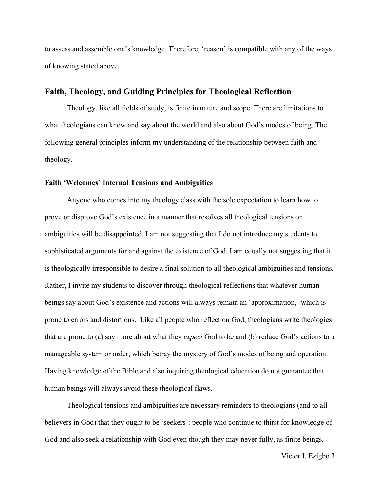to assess and assemble one's knowledge. Therefore, 'reason' is compatible with any of the ways of knowing stated above.

## **Faith, Theology, and Guiding Principles for Theological Reflection**

Theology, like all fields of study, is finite in nature and scope. There are limitations to what theologians can know and say about the world and also about God's modes of being. The following general principles inform my understanding of the relationship between faith and theology.

#### **Faith 'Welcomes' Internal Tensions and Ambiguities**

Anyone who comes into my theology class with the sole expectation to learn how to prove or disprove God's existence in a manner that resolves all theological tensions or ambiguities will be disappointed. I am not suggesting that I do not introduce my students to sophisticated arguments for and against the existence of God. I am equally not suggesting that it is theologically irresponsible to desire a final solution to all theological ambiguities and tensions. Rather, I invite my students to discover through theological reflections that whatever human beings say about God's existence and actions will always remain an 'approximation,' which is prone to errors and distortions. Like all people who reflect on God, theologians write theologies that are prone to (a) say more about what they *expect* God to be and (b) reduce God's actions to a manageable system or order, which betray the mystery of God's modes of being and operation. Having knowledge of the Bible and also inquiring theological education do not guarantee that human beings will always avoid these theological flaws.

Theological tensions and ambiguities are necessary reminders to theologians (and to all believers in God) that they ought to be 'seekers': people who continue to thirst for knowledge of God and also seek a relationship with God even though they may never fully, as finite beings,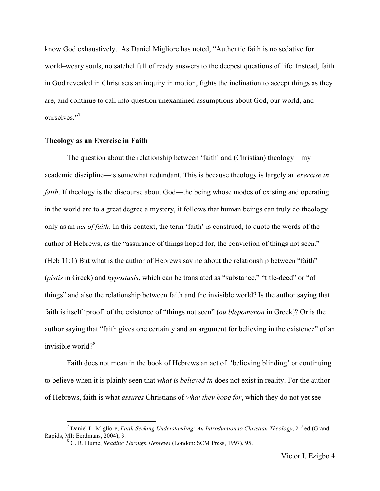know God exhaustively. As Daniel Migliore has noted, "Authentic faith is no sedative for world–weary souls, no satchel full of ready answers to the deepest questions of life. Instead, faith in God revealed in Christ sets an inquiry in motion, fights the inclination to accept things as they are, and continue to call into question unexamined assumptions about God, our world, and ourselves<sup>"7</sup>

### **Theology as an Exercise in Faith**

The question about the relationship between 'faith' and (Christian) theology—my academic discipline—is somewhat redundant. This is because theology is largely an *exercise in faith*. If theology is the discourse about God—the being whose modes of existing and operating in the world are to a great degree a mystery, it follows that human beings can truly do theology only as an *act of faith*. In this context, the term 'faith' is construed, to quote the words of the author of Hebrews, as the "assurance of things hoped for, the conviction of things not seen." (Heb 11:1) But what is the author of Hebrews saying about the relationship between "faith" (*pistis* in Greek) and *hypostasis*, which can be translated as "substance," "title-deed" or "of things" and also the relationship between faith and the invisible world? Is the author saying that faith is itself 'proof' of the existence of "things not seen" (*ou blepomenon* in Greek)? Or is the author saying that "faith gives one certainty and an argument for believing in the existence" of an invisible world?<sup>8</sup>

Faith does not mean in the book of Hebrews an act of 'believing blinding' or continuing to believe when it is plainly seen that *what is believed in* does not exist in reality. For the author of Hebrews, faith is what *assures* Christians of *what they hope for*, which they do not yet see

<sup>&</sup>lt;sup>7</sup> Daniel L. Migliore, *Faith Seeking Understanding: An Introduction to Christian Theology*, 2<sup>nd</sup> ed (Grand Rapids, MI: Eerdmans, 2004), 3.

<sup>&</sup>lt;sup>8</sup> C. R. Hume, *Reading Through Hebrews* (London: SCM Press, 1997), 95.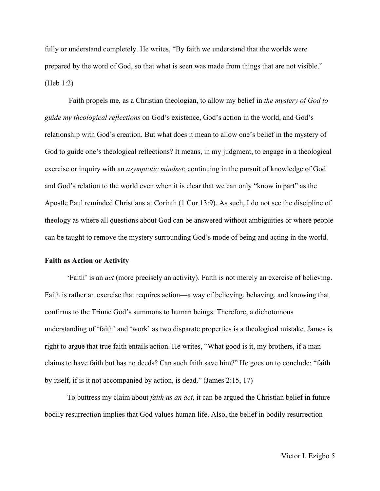fully or understand completely. He writes, "By faith we understand that the worlds were prepared by the word of God, so that what is seen was made from things that are not visible." (Heb 1:2)

Faith propels me, as a Christian theologian, to allow my belief in *the mystery of God to guide my theological reflections* on God's existence, God's action in the world, and God's relationship with God's creation. But what does it mean to allow one's belief in the mystery of God to guide one's theological reflections? It means, in my judgment, to engage in a theological exercise or inquiry with an *asymptotic mindset*: continuing in the pursuit of knowledge of God and God's relation to the world even when it is clear that we can only "know in part" as the Apostle Paul reminded Christians at Corinth (1 Cor 13:9). As such, I do not see the discipline of theology as where all questions about God can be answered without ambiguities or where people can be taught to remove the mystery surrounding God's mode of being and acting in the world.

#### **Faith as Action or Activity**

'Faith' is an *act* (more precisely an activity). Faith is not merely an exercise of believing. Faith is rather an exercise that requires action—a way of believing, behaving, and knowing that confirms to the Triune God's summons to human beings. Therefore, a dichotomous understanding of 'faith' and 'work' as two disparate properties is a theological mistake. James is right to argue that true faith entails action. He writes, "What good is it, my brothers, if a man claims to have faith but has no deeds? Can such faith save him?" He goes on to conclude: "faith by itself, if is it not accompanied by action, is dead." (James 2:15, 17)

To buttress my claim about *faith as an act*, it can be argued the Christian belief in future bodily resurrection implies that God values human life. Also, the belief in bodily resurrection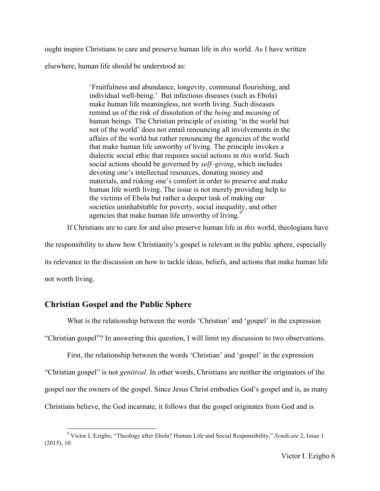ought inspire Christians to care and preserve human life in *this* world. As I have written elsewhere, human life should be understood as:

> 'Fruitfulness and abundance, longevity, communal flourishing, and individual well-being.'**2**But infectious diseases (such as Ebola) make human life meaningless, not worth living. Such diseases remind us of the risk of dissolution of the *being* and *meaning* of human beings. The Christian principle of existing 'in the world but not of the world' does not entail renouncing all involvements in the affairs of the world but rather renouncing the agencies of the world that make human life unworthy of living. The principle invokes a dialectic social ethic that requires social actions in *this* world. Such social actions should be governed by *self–giving*, which includes devoting one's intellectual resources, donating money and materials, and risking one's comfort in order to preserve and make human life worth living. The issue is not merely providing help to the victims of Ebola but rather a deeper task of making our societies uninhabitable for poverty, social inequality, and other agencies that make human life unworthy of living. $9^{\circ}$

If Christians are to care for and also preserve human life in *this* world, theologians have

the responsibility to show how Christianity's gospel is relevant in the public sphere, especially

its relevance to the discussion on how to tackle ideas, beliefs, and actions that make human life

not worth living.

# **Christian Gospel and the Public Sphere**

What is the relationship between the words 'Christian' and 'gospel' in the expression

"Christian gospel"? In answering this question, I will limit my discussion to two observations.

First, the relationship between the words 'Christian' and 'gospel' in the expression

"Christian gospel" is not *genitival*. In other words, Christians are neither the originators of the

gospel nor the owners of the gospel. Since Jesus Christ embodies God's gospel and is, as many

Christians believe, the God incarnate, it follows that the gospel originates from God and is

 <sup>9</sup> Victor I. Ezigbo, "Theology after Ebola? Human Life and Social Responsibility," *Syndicate* 2, Issue 1 (2015), 10.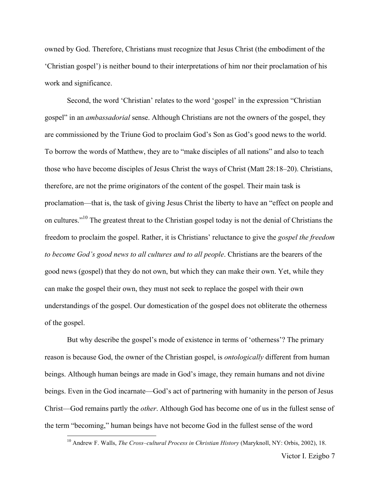owned by God. Therefore, Christians must recognize that Jesus Christ (the embodiment of the 'Christian gospel') is neither bound to their interpretations of him nor their proclamation of his work and significance.

Second, the word 'Christian' relates to the word 'gospel' in the expression "Christian gospel" in an *ambassadorial* sense. Although Christians are not the owners of the gospel, they are commissioned by the Triune God to proclaim God's Son as God's good news to the world. To borrow the words of Matthew, they are to "make disciples of all nations" and also to teach those who have become disciples of Jesus Christ the ways of Christ (Matt 28:18–20). Christians, therefore, are not the prime originators of the content of the gospel. Their main task is proclamation—that is, the task of giving Jesus Christ the liberty to have an "effect on people and on cultures."10 The greatest threat to the Christian gospel today is not the denial of Christians the freedom to proclaim the gospel. Rather, it is Christians' reluctance to give the *gospel the freedom to become God's good news to all cultures and to all people*. Christians are the bearers of the good news (gospel) that they do not own, but which they can make their own. Yet, while they can make the gospel their own, they must not seek to replace the gospel with their own understandings of the gospel. Our domestication of the gospel does not obliterate the otherness of the gospel.

But why describe the gospel's mode of existence in terms of 'otherness'? The primary reason is because God, the owner of the Christian gospel, is *ontologically* different from human beings. Although human beings are made in God's image, they remain humans and not divine beings. Even in the God incarnate—God's act of partnering with humanity in the person of Jesus Christ—God remains partly the *other*. Although God has become one of us in the fullest sense of the term "becoming," human beings have not become God in the fullest sense of the word

 <sup>10</sup> Andrew F. Walls, *The Cross–cultural Process in Christian History* (Maryknoll, NY: Orbis, 2002), 18.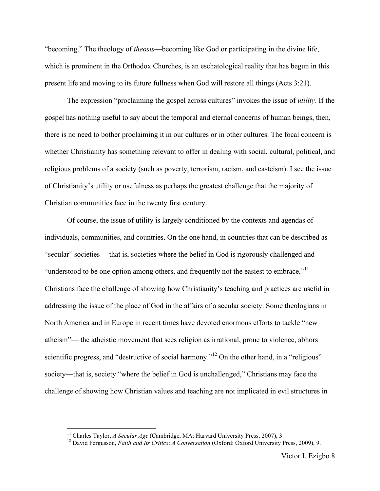"becoming." The theology of *theosis*—becoming like God or participating in the divine life, which is prominent in the Orthodox Churches, is an eschatological reality that has begun in this present life and moving to its future fullness when God will restore all things (Acts 3:21).

The expression "proclaiming the gospel across cultures" invokes the issue of *utility*. If the gospel has nothing useful to say about the temporal and eternal concerns of human beings, then, there is no need to bother proclaiming it in our cultures or in other cultures. The focal concern is whether Christianity has something relevant to offer in dealing with social, cultural, political, and religious problems of a society (such as poverty, terrorism, racism, and casteism). I see the issue of Christianity's utility or usefulness as perhaps the greatest challenge that the majority of Christian communities face in the twenty first century.

Of course, the issue of utility is largely conditioned by the contexts and agendas of individuals, communities, and countries. On the one hand, in countries that can be described as "secular" societies— that is, societies where the belief in God is rigorously challenged and "understood to be one option among others, and frequently not the easiest to embrace,"<sup>11</sup> Christians face the challenge of showing how Christianity's teaching and practices are useful in addressing the issue of the place of God in the affairs of a secular society. Some theologians in North America and in Europe in recent times have devoted enormous efforts to tackle "new atheism"— the atheistic movement that sees religion as irrational, prone to violence, abhors scientific progress, and "destructive of social harmony."<sup>12</sup> On the other hand, in a "religious" society—that is, society "where the belief in God is unchallenged," Christians may face the challenge of showing how Christian values and teaching are not implicated in evil structures in

<sup>&</sup>lt;sup>11</sup> Charles Taylor, *A Secular Age* (Cambridge, MA: Harvard University Press, 2007), 3.<br><sup>12</sup> David Fergusson, *Faith and Its Critics: A Conversation* (Oxford: Oxford University Press, 2009), 9.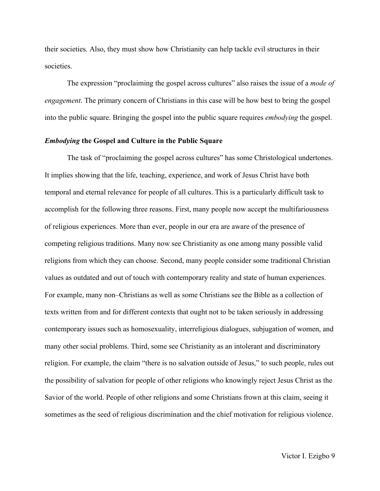their societies. Also, they must show how Christianity can help tackle evil structures in their societies.

The expression "proclaiming the gospel across cultures" also raises the issue of a *mode of engagement*. The primary concern of Christians in this case will be how best to bring the gospel into the public square. Bringing the gospel into the public square requires *embodying* the gospel.

## *Embodying* **the Gospel and Culture in the Public Square**

The task of "proclaiming the gospel across cultures" has some Christological undertones. It implies showing that the life, teaching, experience, and work of Jesus Christ have both temporal and eternal relevance for people of all cultures. This is a particularly difficult task to accomplish for the following three reasons. First, many people now accept the multifariousness of religious experiences. More than ever, people in our era are aware of the presence of competing religious traditions. Many now see Christianity as one among many possible valid religions from which they can choose. Second, many people consider some traditional Christian values as outdated and out of touch with contemporary reality and state of human experiences. For example, many non–Christians as well as some Christians see the Bible as a collection of texts written from and for different contexts that ought not to be taken seriously in addressing contemporary issues such as homosexuality, interreligious dialogues, subjugation of women, and many other social problems. Third, some see Christianity as an intolerant and discriminatory religion. For example, the claim "there is no salvation outside of Jesus," to such people, rules out the possibility of salvation for people of other religions who knowingly reject Jesus Christ as the Savior of the world. People of other religions and some Christians frown at this claim, seeing it sometimes as the seed of religious discrimination and the chief motivation for religious violence.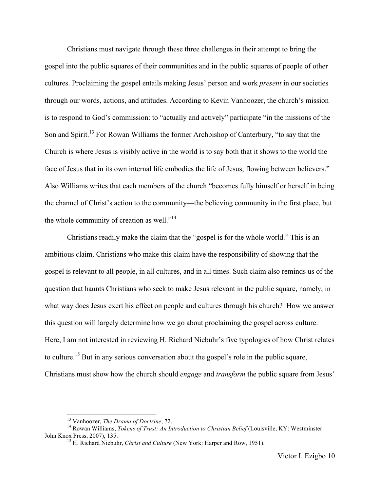Christians must navigate through these three challenges in their attempt to bring the gospel into the public squares of their communities and in the public squares of people of other cultures. Proclaiming the gospel entails making Jesus' person and work *present* in our societies through our words, actions, and attitudes. According to Kevin Vanhoozer, the church's mission is to respond to God's commission: to "actually and actively" participate "in the missions of the Son and Spirit.<sup>13</sup> For Rowan Williams the former Archbishop of Canterbury, "to say that the Church is where Jesus is visibly active in the world is to say both that it shows to the world the face of Jesus that in its own internal life embodies the life of Jesus, flowing between believers." Also Williams writes that each members of the church "becomes fully himself or herself in being the channel of Christ's action to the community—the believing community in the first place, but the whole community of creation as well."<sup>14</sup>

Christians readily make the claim that the "gospel is for the whole world." This is an ambitious claim. Christians who make this claim have the responsibility of showing that the gospel is relevant to all people, in all cultures, and in all times. Such claim also reminds us of the question that haunts Christians who seek to make Jesus relevant in the public square, namely, in what way does Jesus exert his effect on people and cultures through his church? How we answer this question will largely determine how we go about proclaiming the gospel across culture. Here, I am not interested in reviewing H. Richard Niebuhr's five typologies of how Christ relates to culture.<sup>15</sup> But in any serious conversation about the gospel's role in the public square, Christians must show how the church should *engage* and *transform* the public square from Jesus'

<sup>&</sup>lt;sup>13</sup> Vanhoozer, *The Drama of Doctrine*, 72.<br><sup>14</sup> Rowan Williams, *Tokens of Trust: An Introduction to Christian Belief* (Louisville, KY: Westminster<br>John Knox Press, 2007), 135.

<sup>&</sup>lt;sup>15</sup> H. Richard Niebuhr, *Christ and Culture* (New York: Harper and Row, 1951).